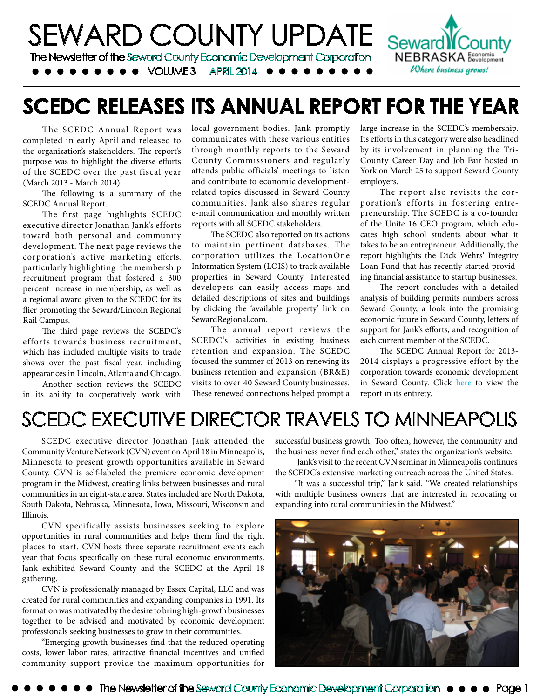

# **SCEDC RELEASES ITS ANNUAL REPORT FOR THE YEAR**

The SCEDC Annual Report was completed in early April and released to the organization's stakeholders. The report's purpose was to highlight the diverse efforts of the SCEDC over the past fiscal year (March 2013 - March 2014).

The following is a summary of the SCEDC Annual Report.

The first page highlights SCEDC executive director Jonathan Jank's efforts toward both personal and community development. The next page reviews the corporation's active marketing efforts, particularly highlighting the membership recruitment program that fostered a 300 percent increase in membership, as well as a regional award given to the SCEDC for its flier promoting the Seward/Lincoln Regional Rail Campus.

The third page reviews the SCEDC's efforts towards business recruitment, which has included multiple visits to trade shows over the past fiscal year, including appearances in Lincoln, Atlanta and Chicago.

Another section reviews the SCEDC in its ability to cooperatively work with local government bodies. Jank promptly communicates with these various entities through monthly reports to the Seward County Commissioners and regularly attends public officials' meetings to listen and contribute to economic developmentrelated topics discussed in Seward County communities. Jank also shares regular e-mail communication and monthly written reports with all SCEDC stakeholders.

The SCEDC also reported on its actions to maintain pertinent databases. The corporation utilizes the LocationOne Information System (LOIS) to track available properties in Seward County. Interested developers can easily access maps and detailed descriptions of sites and buildings by clicking the 'available property' link on SewardRegional.com.

The annual report reviews the SCEDC's activities in existing business retention and expansion. The SCEDC focused the summer of 2013 on renewing its business retention and expansion (BR&E) visits to over 40 Seward County businesses. These renewed connections helped prompt a

large increase in the SCEDC's membership. Its efforts in this category were also headlined by its involvement in planning the Tri-County Career Day and Job Fair hosted in York on March 25 to support Seward County employers.

The report also revisits the corporation's efforts in fostering entrepreneurship. The SCEDC is a co-founder of the Unite 16 CEO program, which educates high school students about what it takes to be an entrepreneur. Additionally, the report highlights the Dick Wehrs' Integrity Loan Fund that has recently started providing financial assistance to startup businesses.

The report concludes with a detailed analysis of building permits numbers across Seward County, a look into the promising economic future in Seward County, letters of support for Jank's efforts, and recognition of each current member of the SCEDC.

The SCEDC Annual Report for 2013- 2014 displays a progressive effort by the corporation towards economic development in Seward County. Click [here](http://www.sewardregional.com/wp-content/uploads/SCEDC-Annual-Report-2014.pdf) to view the report in its entirety.

## SCEDC EXECUTIVE DIRECTOR TRAVELS TO MINNEAPOLIS

SCEDC executive director Jonathan Jank attended the Community Venture Network (CVN) event on April 18 in Minneapolis, Minnesota to present growth opportunities available in Seward County. CVN is self-labeled the premiere economic development program in the Midwest, creating links between businesses and rural communities in an eight-state area. States included are North Dakota, South Dakota, Nebraska, Minnesota, Iowa, Missouri, Wisconsin and Illinois.

CVN specifically assists businesses seeking to explore opportunities in rural communities and helps them find the right places to start. CVN hosts three separate recruitment events each year that focus specifically on these rural economic environments. Jank exhibited Seward County and the SCEDC at the April 18 gathering.

CVN is professionally managed by Essex Capital, LLC and was created for rural communities and expanding companies in 1991. Its formation was motivated by the desire to bring high-growth businesses together to be advised and motivated by economic development professionals seeking businesses to grow in their communities.

"Emerging growth businesses find that the reduced operating costs, lower labor rates, attractive financial incentives and unified community support provide the maximum opportunities for successful business growth. Too often, however, the community and the business never find each other," states the organization's website.

 Jank's visit to the recent CVN seminar in Minneapolis continues the SCEDC's extensive marketing outreach across the United States.

"It was a successful trip," Jank said. "We created relationships with multiple business owners that are interested in relocating or expanding into rural communities in the Midwest."